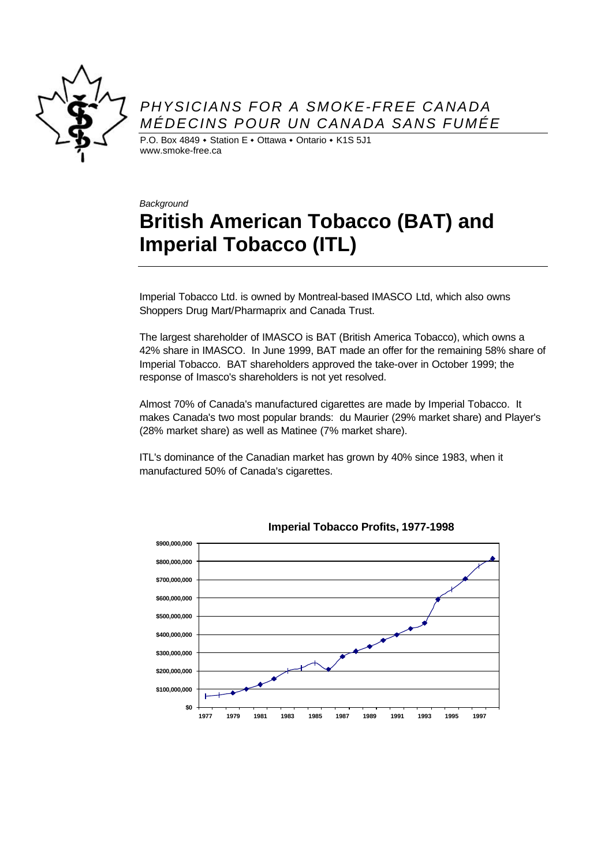

## *PHYSICIANS FOR A SMOKE-FREE CANADA MÉDECINS POUR UN CANADA SANS FUMÉE*

P.O. Box 4849  $\cdot$  Station E  $\cdot$  Ottawa  $\cdot$  Ontario  $\cdot$  K1S 5J1 www.smoke-free.ca

## *Background*

## **British American Tobacco (BAT) and Imperial Tobacco (ITL)**

Imperial Tobacco Ltd. is owned by Montreal-based IMASCO Ltd, which also owns Shoppers Drug Mart/Pharmaprix and Canada Trust.

The largest shareholder of IMASCO is BAT (British America Tobacco), which owns a 42% share in IMASCO. In June 1999, BAT made an offer for the remaining 58% share of Imperial Tobacco. BAT shareholders approved the take-over in October 1999; the response of Imasco's shareholders is not yet resolved.

Almost 70% of Canada's manufactured cigarettes are made by Imperial Tobacco. It makes Canada's two most popular brands: du Maurier (29% market share) and Player's (28% market share) as well as Matinee (7% market share).

ITL's dominance of the Canadian market has grown by 40% since 1983, when it manufactured 50% of Canada's cigarettes.



**Imperial Tobacco Profits, 1977-1998**